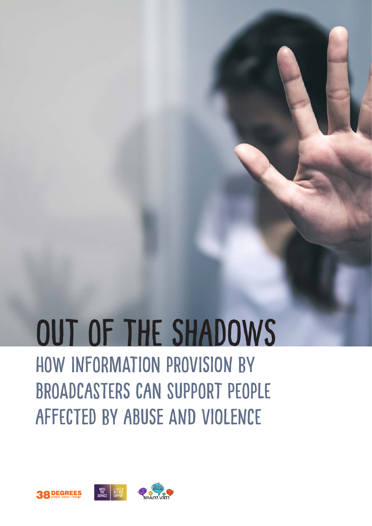# Out of the ShadowS how information provision by broadcasters can support people affected by abuse and violence

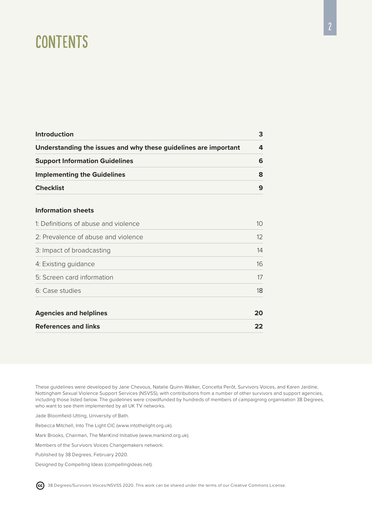## **CONTENTS**

| <b>Introduction</b>                                             | 3  |
|-----------------------------------------------------------------|----|
| Understanding the issues and why these guidelines are important | 4  |
| <b>Support Information Guidelines</b>                           | 6  |
| <b>Implementing the Guidelines</b>                              | 8  |
| <b>Checklist</b>                                                | 9  |
| <b>Information sheets</b>                                       |    |
| 1: Definitions of abuse and violence                            | 10 |
| 2: Prevalence of abuse and violence                             | 12 |
| 3: Impact of broadcasting                                       | 14 |
| 4: Existing guidance                                            | 16 |
| 5: Screen card information                                      | 17 |
| 6: Case studies                                                 | 18 |
| <b>Agencies and helplines</b>                                   | 20 |
| <b>References and links</b>                                     | 22 |

These guidelines were developed by Jane Chevous, Natalie Quinn-Walker, Concetta Perôt, Survivors Voices, and Karen Jardine, Nottingham Sexual Violence Support Services (NSVSS), with contributions from a number of other survivors and support agencies, including those listed below. The guidelines were crowdfunded by hundreds of members of campaigning organisation 38 Degrees, who want to see them implemented by all UK TV networks.

Jade Bloomfield-Utting, University of Bath.

Rebecca Mitchell, Into The Light CIC [\(www.intothelight.org.uk\)](https://www.intothelight.org.uk).

Mark Brooks, Chairman, The ManKind Initiative [\(www.mankind.org.uk\)](https://www.mankind.org.uk).

Members of the Survivors Voices Changemakers network.

Published by 38 Degrees, February 2020.

[Designed by Compelling Ideas](https://compellingideas.net) [\(compellingideas.net\)](https://compellingideas.net).

<sup>cc</sup>) 38 Degrees/Survivors Voices/NSVSS 2020. This work can be shared under the terms of our Creative Commons License.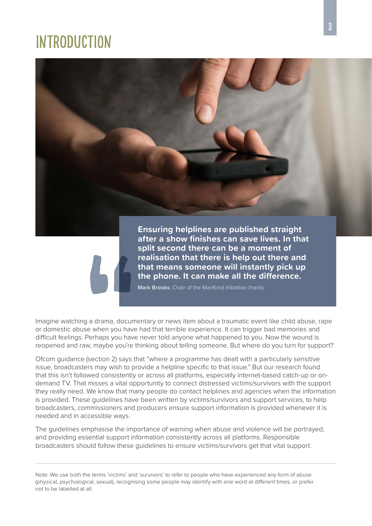## <span id="page-2-0"></span>**INTRODUCTION**



**after a show finishes can save lives. In that split second there can be a moment of realisation that there is help out there and that means someone will instantly pick up the phone. It can make all the difference.**

Mark Brooks, Chair of the ManKind Initiative charity

Imagine watching a drama, documentary or news item about a traumatic event like child abuse, rape or domestic abuse when you have had that terrible experience. It can trigger bad memories and difficult feelings. Perhaps you have never told anyone what happened to you. Now the wound is reopened and raw, maybe you're thinking about telling someone. But where do you turn for support?

Ofcom guidance (section 2) says that "where a programme has dealt with a particularly sensitive issue, broadcasters may wish to provide a helpline specific to that issue." But our research found that this isn't followed consistently or across all platforms, especially internet-based catch-up or ondemand TV. That misses a vital opportunity to connect distressed victims/survivors with the support they really need. We know that many people do contact helplines and agencies when the information is provided. These guidelines have been written by victims/survivors and support services, to help broadcasters, commissioners and producers ensure support information is provided whenever it is needed and in accessible ways.

The guidelines emphasise the importance of warning when abuse and violence will be portrayed, and providing essential support information consistently across all platforms. Responsible broadcasters should follow these guidelines to ensure victims/survivors get that vital support.

Note: We use both the terms 'victims' and 'survivors' to refer to people who have experienced any form of abuse (physical, psychological, sexual), recognising some people may identify with one word at different times, or prefer not to be labelled at all.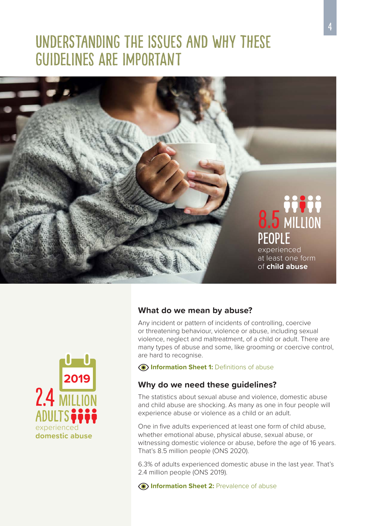## <span id="page-3-0"></span>Understanding the issues and why these guidelines are important



#### **What do we mean by abuse?**

Any incident or pattern of incidents of controlling, coercive or threatening behaviour, violence or abuse, including sexual violence, neglect and maltreatment, of a child or adult. There are many types of abuse and some, like grooming or coercive control, are hard to recognise.

**Information Sheet 1:** Definitions of abuse

#### **Why do we need these guidelines?**

The statistics about sexual abuse and violence, domestic abuse and child abuse are shocking. As many as one in four people will experience abuse or violence as a child or an adult.

One in five adults experienced at least one form of child abuse, whether emotional abuse, physical abuse, sexual abuse, or witnessing domestic violence or abuse, before the age of 16 years. That's 8.5 million people (ONS 2020).

6.3% of adults experienced domestic abuse in the last year. That's 2.4 million people (ONS 2019).

**Information Sheet 2: Prevalence of abuse** 

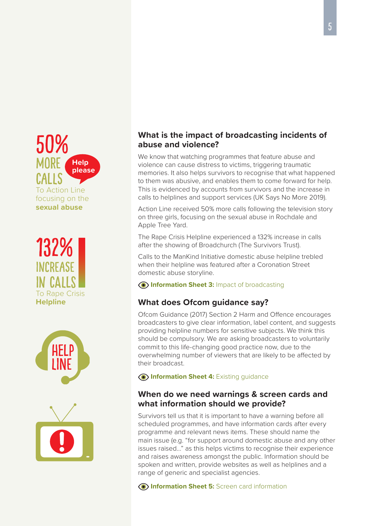#### 50% **MORE** calls To Action Line focusing on the **sexual abuse Help please**







#### **What is the impact of broadcasting incidents of abuse and violence?**

We know that watching programmes that feature abuse and violence can cause distress to victims, triggering traumatic memories. It also helps survivors to recognise that what happened to them was abusive, and enables them to come forward for help. This is evidenced by accounts from survivors and the increase in calls to helplines and support services (UK Says No More 2019).

Action Line received 50% more calls following the television story on three girls, focusing on the sexual abuse in Rochdale and Apple Tree Yard.

The Rape Crisis Helpline experienced a 132% increase in calls after the showing of Broadchurch (The Survivors Trust).

Calls to the ManKind Initiative domestic abuse helpline trebled when their helpline was featured after a Coronation Street domestic abuse storyline.

**Information Sheet 3:** Impact of broadcasting

#### **What does Ofcom guidance say?**

Ofcom Guidance (2017) Section 2 Harm and Offence encourages broadcasters to give clear information, label content, and suggests providing helpline numbers for sensitive subjects. We think this should be compulsory. We are asking broadcasters to voluntarily commit to this life-changing good practice now, due to the overwhelming number of viewers that are likely to be affected by their broadcast.

**Information Sheet 4:** Existing guidance

#### **When do we need warnings & screen cards and what information should we provide?**

Survivors tell us that it is important to have a warning before all scheduled programmes, and have information cards after every programme and relevant news items. These should name the main issue (e.g. "for support around domestic abuse and any other issues raised…" as this helps victims to recognise their experience and raises awareness amongst the public. Information should be spoken and written, provide websites as well as helplines and a range of generic and specialist agencies.

**Information Sheet 5:** Screen card information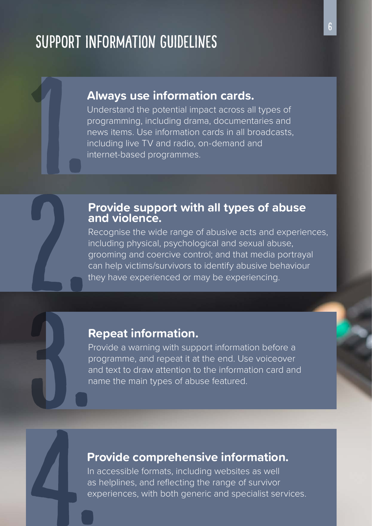## <span id="page-5-0"></span>Support Information Guidelines

### **Always use information cards.**

Understand the potential impact across all types of programming, including drama, documentaries and news items. Use information cards in all broadcasts, including live TV and radio, on-demand and internet-based programmes.

### **Provide support with all types of abuse and violence.**

Recognise the wide range of abusive acts and experiences, including physical, psychological and sexual abuse, grooming and coercive control; and that media portrayal can help victims/survivors to identify abusive behaviour they have experienced or may be experiencing.

### **Repeat information.**

Provide a warning with support information before a programme, and repeat it at the end. Use voiceover and text to draw attention to the information card and name the main types of abuse featured.

### **Provide comprehensive information.**

In accessible formats, including websites as well as helplines, and reflecting the range of survivor experiences, with both generic and specialist services.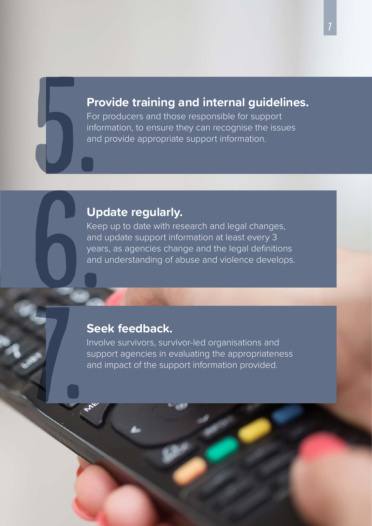### **Provide training and internal guidelines.**

For producers and those responsible for support information, to ensure they can recognise the issues and provide appropriate support information.

### **Update regularly.**

Keep up to date with research and legal changes, and update support information at least every 3 years, as agencies change and the legal definitions and understanding of abuse and violence develops.

### **Seek feedback.**

Involve survivors, survivor-led organisations and support agencies in evaluating the appropriateness and impact of the support information provided.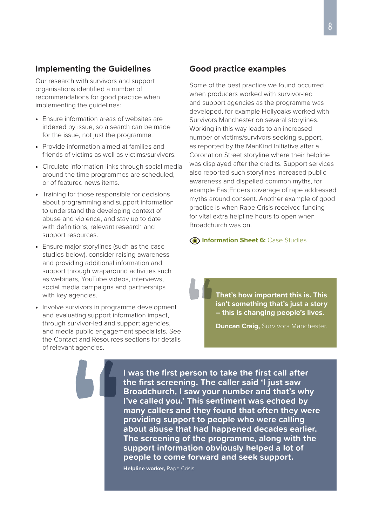#### <span id="page-7-0"></span>**Implementing the Guidelines**

Our research with survivors and support organisations identified a number of recommendations for good practice when implementing the guidelines:

- Ensure information areas of websites are indexed by issue, so a search can be made for the issue, not just the programme.
- Provide information aimed at families and friends of victims as well as victims/survivors.
- Circulate information links through social media around the time programmes are scheduled, or of featured news items.
- Training for those responsible for decisions about programming and support information to understand the developing context of abuse and violence, and stay up to date with definitions, relevant research and support resources.
- Ensure major storylines (such as the case studies below), consider raising awareness and providing additional information and support through wraparound activities such as webinars, YouTube videos, interviews, social media campaigns and partnerships with key agencies.
- Involve survivors in programme development and evaluating support information impact, through survivor-led and support agencies, and media public engagement specialists. See the Contact and Resources sections for details of relevant agencies.

#### **Good practice examples**

Some of the best practice we found occurred when producers worked with survivor-led and support agencies as the programme was developed, for example Hollyoaks worked with Survivors Manchester on several storylines. Working in this way leads to an increased number of victims/survivors seeking support, as reported by the ManKind Initiative after a Coronation Street storyline where their helpline was displayed after the credits. Support services also reported such storylines increased public awareness and dispelled common myths, for example EastEnders coverage of rape addressed myths around consent. Another example of good practice is when Rape Crisis received funding for vital extra helpline hours to open when Broadchurch was on.

#### **Information Sheet 6:** Case Studies

**That's how important this is. This isn't something that's just a story – this is changing people's lives.**

**Duncan Craig,** Survivors Manchester.

**I was the first person to take the first call after the first screening. The caller said 'I just saw Broadchurch, I saw your number and that's why I've called you.' This sentiment was echoed by many callers and they found that often they were providing support to people who were calling about abuse that had happened decades earlier. The screening of the programme, along with the support information obviously helped a lot of people to come forward and seek support.**

**Helpline worker,** Rape Crisis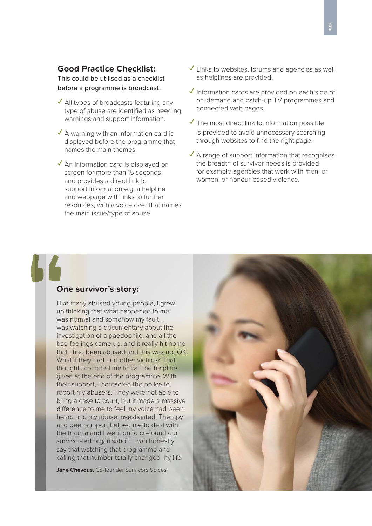#### <span id="page-8-0"></span>**Good Practice Checklist:**

This could be utilised as a checklist before a programme is broadcast.

- **✓** All types of broadcasts featuring any type of abuse are identified as needing warnings and support information.
- **✓** A warning with an information card is displayed before the programme that names the main themes.
- **✓** An information card is displayed on screen for more than 15 seconds and provides a direct link to support information e.g. a helpline and webpage with links to further resources; with a voice over that names the main issue/type of abuse.
- **✓** Links to websites, forums and agencies as well as helplines are provided.
- **✓** Information cards are provided on each side of on-demand and catch-up TV programmes and connected web pages.
- **✓** The most direct link to information possible is provided to avoid unnecessary searching through websites to find the right page.
- **✓** A range of support information that recognises the breadth of survivor needs is provided for example agencies that work with men, or women, or honour-based violence.

#### **One survivor's story:**

Like many abused young people, I grew up thinking that what happened to me was normal and somehow my fault. I was watching a documentary about the investigation of a paedophile, and all the bad feelings came up, and it really hit home that I had been abused and this was not OK. What if they had hurt other victims? That thought prompted me to call the helpline given at the end of the programme. With their support, I contacted the police to report my abusers. They were not able to bring a case to court, but it made a massive difference to me to feel my voice had been heard and my abuse investigated. Therapy and peer support helped me to deal with the trauma and I went on to co-found our survivor-led organisation. I can honestly say that watching that programme and calling that number totally changed my life.

**Jane Chevous,** Co-founder Survivors Voices

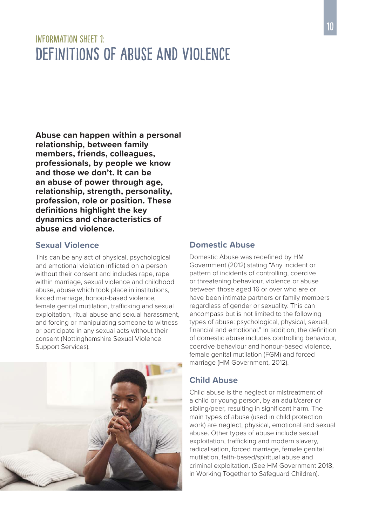## <span id="page-9-0"></span>INFORMATION SHEFT 1: DEFINITIONS OF ARUSE AND VIOLENCE

**Abuse can happen within a personal relationship, between family members, friends, colleagues, professionals, by people we know and those we don't. It can be an abuse of power through age, relationship, strength, personality, profession, role or position. These definitions highlight the key dynamics and characteristics of abuse and violence.** 

#### **Sexual Violence**

This can be any act of physical, psychological and emotional violation inflicted on a person without their consent and includes rape, rape within marriage, sexual violence and childhood abuse, abuse which took place in institutions, forced marriage, honour-based violence, female genital mutilation, trafficking and sexual exploitation, ritual abuse and sexual harassment, and forcing or manipulating someone to witness or participate in any sexual acts without their consent (Nottinghamshire Sexual Violence Support Services).



#### **Domestic Abuse**

Domestic Abuse was redefined by HM Government (2012) stating "Any incident or pattern of incidents of controlling, coercive or threatening behaviour, violence or abuse between those aged 16 or over who are or have been intimate partners or family members regardless of gender or sexuality. This can encompass but is not limited to the following types of abuse: psychological, physical, sexual, financial and emotional." In addition, the definition of domestic abuse includes controlling behaviour, coercive behaviour and honour-based violence, female genital mutilation (FGM) and forced marriage (HM Government, 2012).

#### **Child Abuse**

Child abuse is the neglect or mistreatment of a child or young person, by an adult/carer or sibling/peer, resulting in significant harm. The main types of abuse (used in child protection work) are neglect, physical, emotional and sexual abuse. Other types of abuse include sexual exploitation, trafficking and modern slavery, radicalisation, forced marriage, female genital mutilation, faith-based/spiritual abuse and criminal exploitation. (See HM Government 2018, in Working Together to Safeguard Children).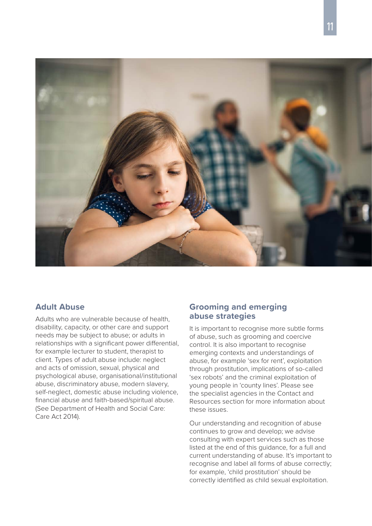

#### **Adult Abuse**

Adults who are vulnerable because of health, disability, capacity, or other care and support needs may be subject to abuse; or adults in relationships with a significant power differential, for example lecturer to student, therapist to client. Types of adult abuse include: neglect and acts of omission, sexual, physical and psychological abuse, organisational/institutional abuse, discriminatory abuse, modern slavery, self-neglect, domestic abuse including violence, financial abuse and faith-based/spiritual abuse. (See Department of Health and Social Care: Care Act 2014).

#### **Grooming and emerging abuse strategies**

It is important to recognise more subtle forms of abuse, such as grooming and coercive control. It is also important to recognise emerging contexts and understandings of abuse, for example 'sex for rent', exploitation through prostitution, implications of so-called 'sex robots' and the criminal exploitation of young people in 'county lines'. Please see the specialist agencies in the Contact and Resources section for more information about these issues.

Our understanding and recognition of abuse continues to grow and develop; we advise consulting with expert services such as those listed at the end of this guidance, for a full and current understanding of abuse. It's important to recognise and label all forms of abuse correctly; for example, 'child prostitution' should be correctly identified as child sexual exploitation.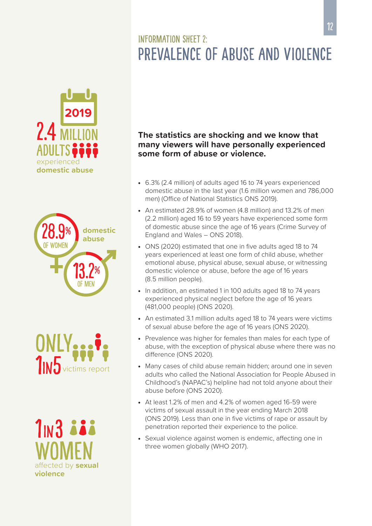## INFORMATION SHEFT 2. Prevalence of abuse and violence

<span id="page-11-0"></span>







#### **The statistics are shocking and we know that many viewers will have personally experienced some form of abuse or violence.**

- 6.3% (2.4 million) of adults aged 16 to 74 years experienced domestic abuse in the last year (1.6 million women and 786,000 men) (Office of National Statistics ONS 2019).
- An estimated 28.9% of women (4.8 million) and 13.2% of men (2.2 million) aged 16 to 59 years have experienced some form of domestic abuse since the age of 16 years (Crime Survey of England and Wales – ONS 2018).
- ONS (2020) estimated that one in five adults aged 18 to 74 years experienced at least one form of child abuse, whether emotional abuse, physical abuse, sexual abuse, or witnessing domestic violence or abuse, before the age of 16 years (8.5 million people).
- In addition, an estimated 1 in 100 adults aged 18 to 74 years experienced physical neglect before the age of 16 years (481,000 people) (ONS 2020).
- An estimated 3.1 million adults aged 18 to 74 years were victims of sexual abuse before the age of 16 years (ONS 2020).
- Prevalence was higher for females than males for each type of abuse, with the exception of physical abuse where there was no difference (ONS 2020).
- Many cases of child abuse remain hidden; around one in seven adults who called the National Association for People Abused in Childhood's (NAPAC's) helpline had not told anyone about their abuse before (ONS 2020).
- At least 1.2% of men and 4.2% of women aged 16-59 were victims of sexual assault in the year ending March 2018 (ONS 2019). Less than one in five victims of rape or assault by penetration reported their experience to the police.
- Sexual violence against women is endemic, affecting one in three women globally (WHO 2017).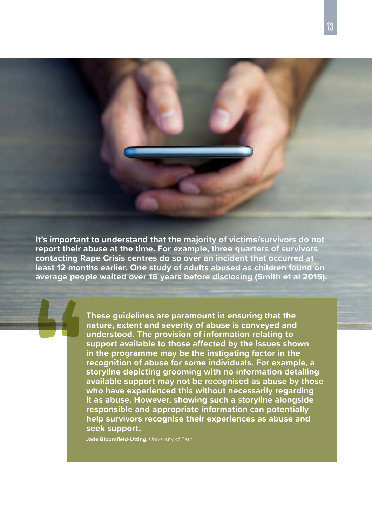**It's important to understand that the majority of victims/survivors do not report their abuse at the time. For example, three quarters of survivors contacting Rape Crisis centres do so over an incident that occurred at least 12 months earlier. One study of adults abused as children found on average people waited over 16 years before disclosing (Smith et al 2015).** 

> **These guidelines are paramount in ensuring that the nature, extent and severity of abuse is conveyed and understood. The provision of information relating to support available to those affected by the issues shown in the programme may be the instigating factor in the recognition of abuse for some individuals. For example, a storyline depicting grooming with no information detailing available support may not be recognised as abuse by those who have experienced this without necessarily regarding it as abuse. However, showing such a storyline alongside responsible and appropriate information can potentially help survivors recognise their experiences as abuse and seek support.**

**Jade Bloomfield-Utting,** University of Bath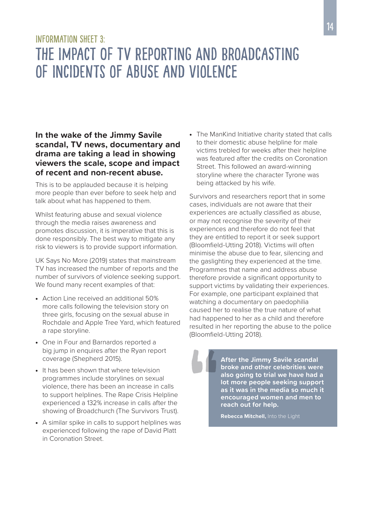## <span id="page-13-0"></span>INFORMATION SHEFT 3. The impact of TV reporting and broadcasting of incidents of abuse and violence

#### **In the wake of the Jimmy Savile scandal, TV news, documentary and drama are taking a lead in showing viewers the scale, scope and impact of recent and non-recent abuse.**

This is to be applauded because it is helping more people than ever before to seek help and talk about what has happened to them.

Whilst featuring abuse and sexual violence through the media raises awareness and promotes discussion, it is imperative that this is done responsibly. The best way to mitigate any risk to viewers is to provide support information.

UK Says No More (2019) states that mainstream TV has increased the number of reports and the number of survivors of violence seeking support. We found many recent examples of that:

- Action Line received an additional 50% more calls following the television story on three girls, focusing on the sexual abuse in Rochdale and Apple Tree Yard, which featured a rape storyline.
- One in Four and Barnardos reported a big jump in enquires after the Ryan report coverage (Shepherd 2015).
- It has been shown that where television programmes include storylines on sexual violence, there has been an increase in calls to support helplines. The Rape Crisis Helpline experienced a 132% increase in calls after the showing of Broadchurch (The Survivors Trust).
- A similar spike in calls to support helplines was experienced following the rape of David Platt in Coronation Street.

• The ManKind Initiative charity stated that calls to their domestic abuse helpline for male victims trebled for weeks after their helpline was featured after the credits on Coronation Street. This followed an award-winning storyline where the character Tyrone was being attacked by his wife.

Survivors and researchers report that in some cases, individuals are not aware that their experiences are actually classified as abuse, or may not recognise the severity of their experiences and therefore do not feel that they are entitled to report it or seek support (Bloomfield-Utting 2018). Victims will often minimise the abuse due to fear, silencing and the gaslighting they experienced at the time. Programmes that name and address abuse therefore provide a significant opportunity to support victims by validating their experiences. For example, one participant explained that watching a documentary on paedophilia caused her to realise the true nature of what had happened to her as a child and therefore resulted in her reporting the abuse to the police (Bloomfield-Utting 2018).

> **After the Jimmy Savile scandal broke and other celebrities were also going to trial we have had a lot more people seeking support as it was in the media so much it encouraged women and men to reach out for help.**

**Rebecca Mitchell,** Into the Light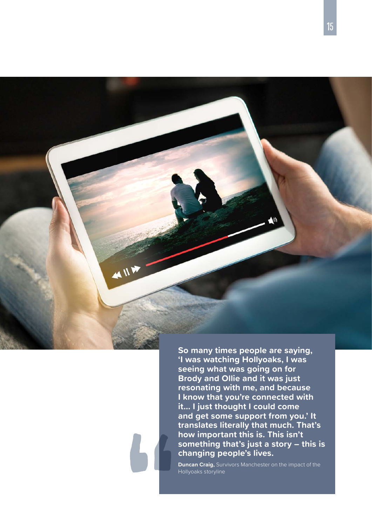**So many times people are saying, 'I was watching Hollyoaks, I was seeing what was going on for Brody and Ollie and it was just resonating with me, and because I know that you're connected with it... I just thought I could come and get some support from you.' It translates literally that much. That's how important this is. This isn't something that's just a story – this is changing people's lives.**

**Duncan Craig,** Survivors Manchester on the impact of the Hollyoaks storyline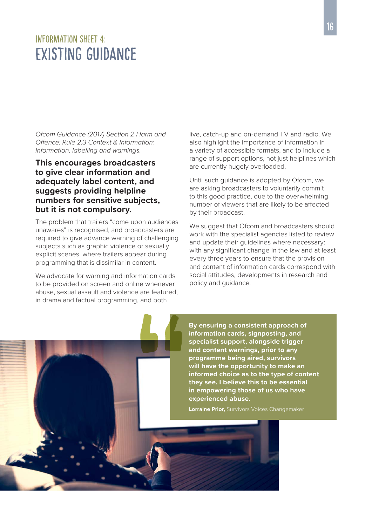## <span id="page-15-0"></span>INFORMATION SHEFT 4. Existing guidance

*Ofcom Guidance (2017) Section 2 Harm and Offence: Rule 2.3 Context & Information: Information, labelling and warnings.*

#### **This encourages broadcasters to give clear information and adequately label content, and suggests providing helpline numbers for sensitive subjects, but it is not compulsory.**

The problem that trailers "come upon audiences unawares" is recognised, and broadcasters are required to give advance warning of challenging subjects such as graphic violence or sexually explicit scenes, where trailers appear during programming that is dissimilar in content.

We advocate for warning and information cards to be provided on screen and online whenever abuse, sexual assault and violence are featured, in drama and factual programming, and both

live, catch-up and on-demand TV and radio. We also highlight the importance of information in a variety of accessible formats, and to include a range of support options, not just helplines which are currently hugely overloaded.

Until such guidance is adopted by Ofcom, we are asking broadcasters to voluntarily commit to this good practice, due to the overwhelming number of viewers that are likely to be affected by their broadcast.

We suggest that Ofcom and broadcasters should work with the specialist agencies listed to review and update their guidelines where necessary: with any significant change in the law and at least every three years to ensure that the provision and content of information cards correspond with social attitudes, developments in research and policy and guidance.

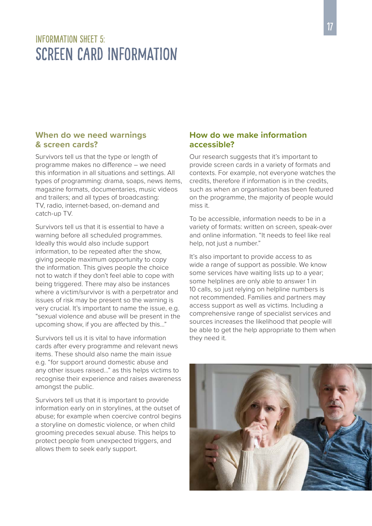## <span id="page-16-0"></span>INFORMATION SHEFT 5: Screen Card Information

#### **When do we need warnings & screen cards?**

Survivors tell us that the type or length of programme makes no difference – we need this information in all situations and settings. All types of programming: drama, soaps, news items, magazine formats, documentaries, music videos and trailers; and all types of broadcasting: TV, radio, internet-based, on-demand and catch-up TV.

Survivors tell us that it is essential to have a warning before all scheduled programmes. Ideally this would also include support information, to be repeated after the show, giving people maximum opportunity to copy the information. This gives people the choice not to watch if they don't feel able to cope with being triggered. There may also be instances where a victim/survivor is with a perpetrator and issues of risk may be present so the warning is very crucial. It's important to name the issue, e.g. "sexual violence and abuse will be present in the upcoming show, if you are affected by this..."

Survivors tell us it is vital to have information cards after every programme and relevant news items. These should also name the main issue e.g. "for support around domestic abuse and any other issues raised…" as this helps victims to recognise their experience and raises awareness amongst the public.

Survivors tell us that it is important to provide information early on in storylines, at the outset of abuse; for example when coercive control begins a storyline on domestic violence, or when child grooming precedes sexual abuse. This helps to protect people from unexpected triggers, and allows them to seek early support.

#### **How do we make information accessible?**

Our research suggests that it's important to provide screen cards in a variety of formats and contexts. For example, not everyone watches the credits, therefore if information is in the credits, such as when an organisation has been featured on the programme, the majority of people would miss it.

To be accessible, information needs to be in a variety of formats: written on screen, speak-over and online information. "It needs to feel like real help, not just a number."

It's also important to provide access to as wide a range of support as possible. We know some services have waiting lists up to a year; some helplines are only able to answer 1 in 10 calls, so just relying on helpline numbers is not recommended. Families and partners may access support as well as victims. Including a comprehensive range of specialist services and sources increases the likelihood that people will be able to get the help appropriate to them when they need it.

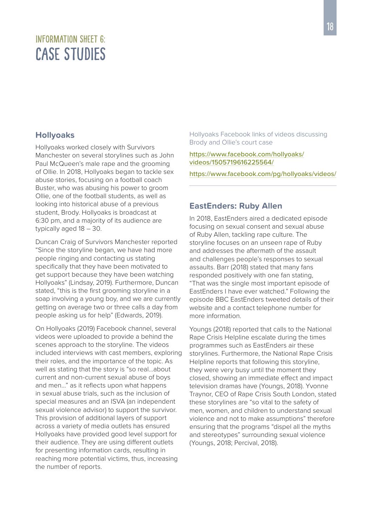## <span id="page-17-0"></span>INFORMATION SHEFT 6. Case Studies

#### **Hollyoaks**

Hollyoaks worked closely with Survivors Manchester on several storylines such as John Paul McQueen's male rape and the grooming of Ollie. In 2018, Hollyoaks began to tackle sex abuse stories, focusing on a football coach Buster, who was abusing his power to groom Ollie, one of the football students, as well as looking into historical abuse of a previous student, Brody. Hollyoaks is broadcast at 6:30 pm, and a majority of its audience are typically aged 18 – 30.

Duncan Craig of Survivors Manchester reported "Since the storyline began, we have had more people ringing and contacting us stating specifically that they have been motivated to get support because they have been watching Hollyoaks" (Lindsay, 2019). Furthermore, Duncan stated, "this is the first grooming storyline in a soap involving a young boy, and we are currently getting on average two or three calls a day from people asking us for help" (Edwards, 2019).

On Hollyoaks (2019) Facebook channel, several videos were uploaded to provide a behind the scenes approach to the storyline. The videos included interviews with cast members, exploring their roles, and the importance of the topic. As well as stating that the story is "so real…about current and non-current sexual abuse of boys and men…" as it reflects upon what happens in sexual abuse trials, such as the inclusion of special measures and an ISVA (an independent sexual violence advisor) to support the survivor. This provision of additional layers of support across a variety of media outlets has ensured Hollyoaks have provided good level support for their audience. They are using different outlets for presenting information cards, resulting in reaching more potential victims, thus, increasing the number of reports.

Hollyoaks Facebook links of videos discussing Brody and Ollie's court case

[https://www.facebook.com/hollyoaks/](https://www.facebook.com/hollyoaks/videos/1505719616225564/) [videos/1505719616225564/](https://www.facebook.com/hollyoaks/videos/1505719616225564/)

<https://www.facebook.com/pg/hollyoaks/videos/>

#### **EastEnders: Ruby Allen**

In 2018, EastEnders aired a dedicated episode focusing on sexual consent and sexual abuse of Ruby Allen, tackling rape culture. The storyline focuses on an unseen rape of Ruby and addresses the aftermath of the assault and challenges people's responses to sexual assaults. Barr (2018) stated that many fans responded positively with one fan stating, "That was the single most important episode of EastEnders I have ever watched." Following the episode BBC EastEnders tweeted details of their website and a contact telephone number for more information.

Youngs (2018) reported that calls to the National Rape Crisis Helpline escalate during the times programmes such as EastEnders air these storylines. Furthermore, the National Rape Crisis Helpline reports that following this storyline, they were very busy until the moment they closed, showing an immediate effect and impact television dramas have (Youngs, 2018). Yvonne Traynor, CEO of Rape Crisis South London, stated these storylines are "so vital to the safety of men, women, and children to understand sexual violence and not to make assumptions" therefore ensuring that the programs "dispel all the myths and stereotypes" surrounding sexual violence (Youngs, 2018; Percival, 2018).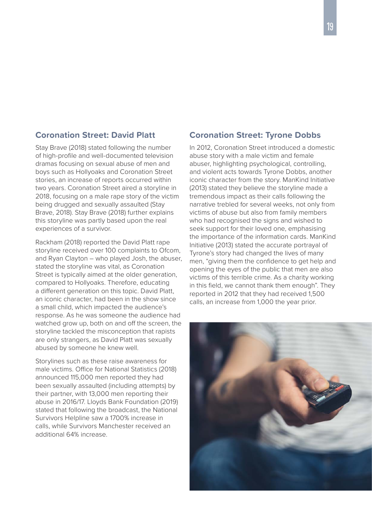#### **Coronation Street: David Platt**

Stay Brave (2018) stated following the number of high-profile and well-documented television dramas focusing on sexual abuse of men and boys such as Hollyoaks and Coronation Street stories, an increase of reports occurred within two years. Coronation Street aired a storyline in 2018, focusing on a male rape story of the victim being drugged and sexually assaulted (Stay Brave, 2018). Stay Brave (2018) further explains this storyline was partly based upon the real experiences of a survivor.

Rackham (2018) reported the David Platt rape storyline received over 100 complaints to Ofcom, and Ryan Clayton – who played Josh, the abuser, stated the storyline was vital, as Coronation Street is typically aimed at the older generation, compared to Hollyoaks. Therefore, educating a different generation on this topic. David Platt, an iconic character, had been in the show since a small child, which impacted the audience's response. As he was someone the audience had watched grow up, both on and off the screen, the storyline tackled the misconception that rapists are only strangers, as David Platt was sexually abused by someone he knew well.

Storylines such as these raise awareness for male victims. Office for National Statistics (2018) announced 115,000 men reported they had been sexually assaulted (including attempts) by their partner, with 13,000 men reporting their abuse in 2016/17. Lloyds Bank Foundation (2019) stated that following the broadcast, the National Survivors Helpline saw a 1700% increase in calls, while Survivors Manchester received an additional 64% increase.

#### **Coronation Street: Tyrone Dobbs**

In 2012, Coronation Street introduced a domestic abuse story with a male victim and female abuser, highlighting psychological, controlling, and violent acts towards Tyrone Dobbs, another iconic character from the story. ManKind Initiative (2013) stated they believe the storyline made a tremendous impact as their calls following the narrative trebled for several weeks, not only from victims of abuse but also from family members who had recognised the signs and wished to seek support for their loved one, emphasising the importance of the information cards. ManKind Initiative (2013) stated the accurate portrayal of Tyrone's story had changed the lives of many men, "giving them the confidence to get help and opening the eyes of the public that men are also victims of this terrible crime. As a charity working in this field, we cannot thank them enough". They reported in 2012 that they had received 1,500 calls, an increase from 1,000 the year prior.

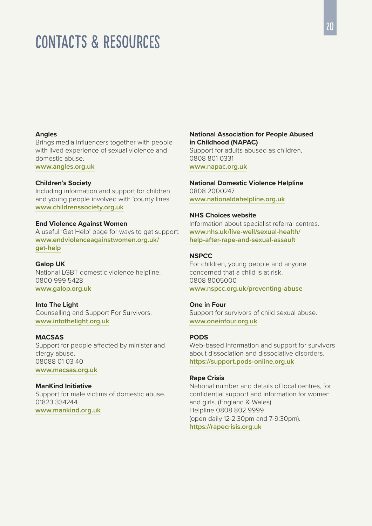## <span id="page-19-0"></span>Contacts & Resources

#### **Angles**

Brings media influencers together with people with lived experience of sexual violence and domestic abuse.

**[www.angles.org.uk](https://www.angles.org.uk)**

#### **Children's Society**

Including information and support for children and young people involved with 'county lines'. **[www.childrenssociety.org.uk](https://www.childrenssociety.org.uk)**

#### **End Violence Against Women**

A useful 'Get Help' page for ways to get support. **[www.endviolenceagainstwomen.org.uk/](https://www.endviolenceagainstwomen.org.uk/get-help) [get-help](https://www.endviolenceagainstwomen.org.uk/get-help)**

#### **Galop UK**

National LGBT domestic violence helpline. 0800 999 5428 **[www.galop.org.uk](https://www.galop.org.uk)**

#### **Into The Light**

Counselling and Support For Survivors. **[www.intothelight.org.uk](https://www.intothelight.org.uk)**

#### **MACSAS**

Support for people affected by minister and clergy abuse. 08088 01 03 40 **[www.macsas.org.uk](https://www.macsas.org.uk)**

#### **ManKind Initiative**

Support for male victims of domestic abuse. 01823 334244 **[www.mankind.org.uk](https://www.mankind.org.uk)**

#### **National Association for People Abused in Childhood (NAPAC)**

Support for adults abused as children. 0808 801 0331 **[www.napac.org.uk](https://www.napac.org.uk)**

#### **National Domestic Violence Helpline**

0808 2000247 **[www.nationaldahelpline.org.uk](https://www.nationaldahelpline.org.uk)**

#### **NHS Choices website**

Information about specialist referral centres. **[www.nhs.uk/live-well/sexual-health/](https://www.nhs.uk/live-well/sexual-health/help-after-rape-and-sexual-assault) [help-after-rape-and-sexual-assault](https://www.nhs.uk/live-well/sexual-health/help-after-rape-and-sexual-assault)**

#### **NSPCC**

For children, young people and anyone concerned that a child is at risk. 0808 8005000 **[www.nspcc.org.uk/preventing-abuse](https://www.nspcc.org.uk/preventing-abuse)**

#### **One in Four**

Support for survivors of child sexual abuse. **[www.oneinfour.org.uk](https://www.oneinfour.org.uk)**

#### **PODS**

Web-based information and support for survivors about dissociation and dissociative disorders. **<https://support.pods-online.org.uk>**

#### **Rape Crisis**

National number and details of local centres, for confidential support and information for women and girls. (England & Wales) Helpline 0808 802 9999 (open daily 12-2:30pm and 7-9:30pm). **<https://rapecrisis.org.uk>**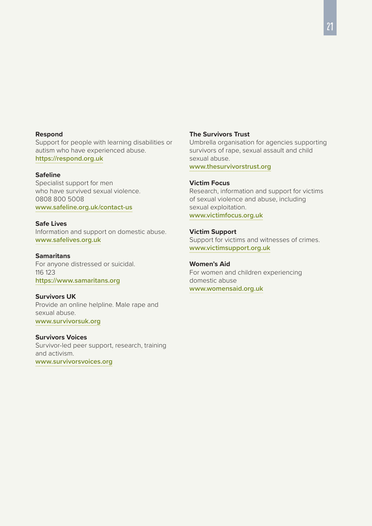#### **Respond**

Support for people with learning disabilities or autism who have experienced abuse. **<https://respond.org.uk>**

#### **Safeline**

Specialist support for men who have survived sexual violence. 0808 800 5008 **[www.safeline.org.uk/contact-us](https://www.safeline.org.uk/contact-us)**

#### **Safe Lives**

Information and support on domestic abuse. **[www.safelives.org.uk](http://www.safelives.org.uk)**

#### **Samaritans**

For anyone distressed or suicidal. 116 123 **<https://www.samaritans.org>**

#### **Survivors UK**

Provide an online helpline. Male rape and sexual abuse. **[www.survivorsuk.org](https://www.survivorsuk.org)**

#### **Survivors Voices**

Survivor-led peer support, research, training and activism. **[www.survivorsvoices.org](https://www.survivorsvoices.org)**

#### **The Survivors Trust**

Umbrella organisation for agencies supporting survivors of rape, sexual assault and child sexual abuse. **[www.thesurvivorstrust.org](https://www.thesurvivorstrust.org)**

#### **Victim Focus**

Research, information and support for victims of sexual violence and abuse, including sexual exploitation. **[www.victimfocus.org.uk](https://www.victimfocus.org.uk)**

#### **Victim Support**

Support for victims and witnesses of crimes. **[www.victimsupport.org.uk](https://www.victimsupport.org.uk)**

#### **Women's Aid**

For women and children experiencing domestic abuse **[www.womensaid.org.uk](https://www.womensaid.org.uk)**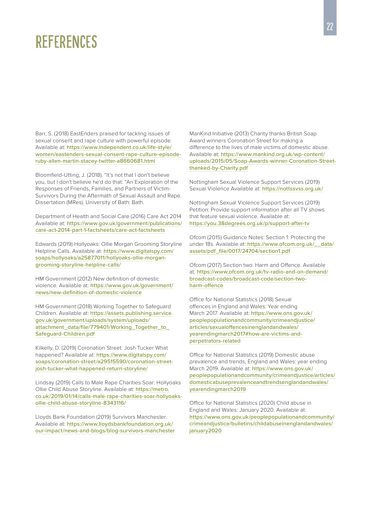## <span id="page-21-0"></span>**REFERENCES**

Barr, S. (2018) EastEnders praised for tackling issues of sexual consent and rape culture with powerful episode. Available at: [https://www.independent.co.uk/life-style/](https://www.independent.co.uk/life-style/women/eastenders-sexual-consent-rape-culture-episode-ruby-allen-martin-stacey-twitter-a8660681.html) [women/eastenders-sexual-consent-rape-culture-episode](https://www.independent.co.uk/life-style/women/eastenders-sexual-consent-rape-culture-episode-ruby-allen-martin-stacey-twitter-a8660681.html)[ruby-allen-martin-stacey-twitter-a8660681.html](https://www.independent.co.uk/life-style/women/eastenders-sexual-consent-rape-culture-episode-ruby-allen-martin-stacey-twitter-a8660681.html)

Bloomfield-Utting, J. (2018). "It's not that I don't believe you, but I don't believe he'd do that: "An Exploration of the Responses of Friends, Families, and Partners of Victim-Survivors During the Aftermath of Sexual Assault and Rape. Dissertation (MRes). University of Bath: Bath.

Department of Health and Social Care (2016) Care Act 2014 Available at: [https://www.gov.uk/government/publications/](https://www.gov.uk/government/publications/care-act-2014-part-1-factsheets/care-act-factsheets) [care-act-2014-part-1-factsheets/care-act-factsheets](https://www.gov.uk/government/publications/care-act-2014-part-1-factsheets/care-act-factsheets)

Edwards (2019) Hollyoaks: Ollie Morgan Grooming Storyline Helpline Calls. Available at: [https://www.digitalspy.com/](https://www.digitalspy.com/soaps/hollyoaks/a25877011/hollyoaks-ollie-morgan-grooming-storyline-helpl) [soaps/hollyoaks/a25877011/hollyoaks-ollie-morgan](https://www.digitalspy.com/soaps/hollyoaks/a25877011/hollyoaks-ollie-morgan-grooming-storyline-helpl)[grooming-storyline-helpline-calls/](https://www.digitalspy.com/soaps/hollyoaks/a25877011/hollyoaks-ollie-morgan-grooming-storyline-helpl)

HM Government (2012) New definition of domestic violence. Available at: [https://www.gov.uk/government/](https://www.gov.uk/government/news/new-definition-of-domestic-violence) [news/new-definition-of-domestic-violence](https://www.gov.uk/government/news/new-definition-of-domestic-violence)

HM Government (2018) Working Together to Safeguard Children. Available at: [https://assets.publishing.service.](https://assets.publishing.service.gov.uk/government/uploads/system/uploads/attachment_data/file/779401/Working_Together_to_Safeguard-Children.pdf) [gov.uk/government/uploads/system/uploads/](https://assets.publishing.service.gov.uk/government/uploads/system/uploads/attachment_data/file/779401/Working_Together_to_Safeguard-Children.pdf) [attachment\\_data/file/779401/Working\\_Together\\_to\\_](https://assets.publishing.service.gov.uk/government/uploads/system/uploads/attachment_data/file/779401/Working_Together_to_Safeguard-Children.pdf) [Safeguard-Children.pdf](https://assets.publishing.service.gov.uk/government/uploads/system/uploads/attachment_data/file/779401/Working_Together_to_Safeguard-Children.pdf)

Kilkelly, D. (2019) Coronation Street: Josh Tucker What happened? Available at: [https://www.digitalspy.com/](https://www.digitalspy.com/soaps/coronation-street/a29515590/coronation-street-josh-tucker-what-happ) [soaps/coronation-street/a29515590/coronation-street](https://www.digitalspy.com/soaps/coronation-street/a29515590/coronation-street-josh-tucker-what-happ)[josh-tucker-what-happened-return-storyline/](https://www.digitalspy.com/soaps/coronation-street/a29515590/coronation-street-josh-tucker-what-happ)

Lindsay (2019) Calls to Male Rape Charities Soar: Hollyoaks Ollie Child Abuse Storyline. Available at: [https://metro.](https://metro.co.uk/2019/01/14/calls-male-rape-charities-soar-hollyoaks-ollie-child-abuse-storyline-8343116/) [co.uk/2019/01/14/calls-male-rape-charities-soar-hollyoaks](https://metro.co.uk/2019/01/14/calls-male-rape-charities-soar-hollyoaks-ollie-child-abuse-storyline-8343116/)[ollie-child-abuse-storyline-8343116/](https://metro.co.uk/2019/01/14/calls-male-rape-charities-soar-hollyoaks-ollie-child-abuse-storyline-8343116/)

Lloyds Bank Foundation (2019) Survivors Manchester. Available at: [https://www.lloydsbankfoundation.org.uk/](https://www.lloydsbankfoundation.org.uk/our-impact/news-and-blogs/blog-survivors-manchester) [our-impact/news-and-blogs/blog-survivors-manchester](https://www.lloydsbankfoundation.org.uk/our-impact/news-and-blogs/blog-survivors-manchester) ManKind Initiative (2013) Charity thanks British Soap Award winners Coronation Street for making a difference to the lives of male victims of domestic abuse. Available at: [https://www.mankind.org.uk/wp-content/](https://www.mankind.org.uk/wp-content/uploads/2015/05/Soap-Awards-winner-Coronation-Street-thanked-by-Charity.pdf) [uploads/2015/05/Soap-Awards-winner-Coronation-Street](https://www.mankind.org.uk/wp-content/uploads/2015/05/Soap-Awards-winner-Coronation-Street-thanked-by-Charity.pdf)[thanked-by-Charity.pdf](https://www.mankind.org.uk/wp-content/uploads/2015/05/Soap-Awards-winner-Coronation-Street-thanked-by-Charity.pdf)

Nottingham Sexual Violence Support Services (2019) Sexual Violence Available at: <https://nottssvss.org.uk/>

Nottingham Sexual Violence Support Services (2019) Petition: Provide support information after all TV shows that feature sexual violence. Available at: <https://you.38degrees.org.uk/p/support-after-tv>

Ofcom (2015) Guidance Notes: Section 1: Protecting the under 18s. Available at: https://www.ofcom.org.uk/ data/ [assets/pdf\\_file/0017/24704/section1.pdf](https://www.ofcom.org.uk/__data/assets/pdf_file/0017/24704/section1.pdf)

Ofcom (2017) Section two: Harm and Offence. Available at: [https://www.ofcom.org.uk/tv-radio-and-on-demand/](https://www.ofcom.org.uk/tv-radio-and-on-demand/broadcast-codes/broadcast-code/section-two-harm-offence) [broadcast-codes/broadcast-code/section-two](https://www.ofcom.org.uk/tv-radio-and-on-demand/broadcast-codes/broadcast-code/section-two-harm-offence)[harm-offence](https://www.ofcom.org.uk/tv-radio-and-on-demand/broadcast-codes/broadcast-code/section-two-harm-offence)

Office for National Statistics (2018) Sexual offences in England and Wales: Year ending March 2017. Available at: [https://www.ons.gov.uk/](https://www.ons.gov.uk/peoplepopulationandcommunity/crimeandjustice/articles/sexualoffencesinenglandandwales/yearendingmarch2017#how-are-victims-and-perpetrators-related) [peoplepopulationandcommunity/crimeandjustice/](https://www.ons.gov.uk/peoplepopulationandcommunity/crimeandjustice/articles/sexualoffencesinenglandandwales/yearendingmarch2017#how-are-victims-and-perpetrators-related) [articles/sexualoffencesinenglandandwales/](https://www.ons.gov.uk/peoplepopulationandcommunity/crimeandjustice/articles/sexualoffencesinenglandandwales/yearendingmarch2017#how-are-victims-and-perpetrators-related) [yearendingmarch2017#how-are-victims-and](https://www.ons.gov.uk/peoplepopulationandcommunity/crimeandjustice/articles/sexualoffencesinenglandandwales/yearendingmarch2017#how-are-victims-and-perpetrators-related)[perpetrators-related](https://www.ons.gov.uk/peoplepopulationandcommunity/crimeandjustice/articles/sexualoffencesinenglandandwales/yearendingmarch2017#how-are-victims-and-perpetrators-related)

Office for National Statistics (2019) Domestic abuse prevalence and trends, England and Wales: year ending .<br>March 2019. Available at: [https://www.ons.gov.uk/](https://www.ons.gov.uk/peoplepopulationandcommunity/crimeandjustice/articles/domesticabuseprevalenceandtrendsenglandandwales/yearendingmarch2019) [peoplepopulationandcommunity/crimeandjustice/articles/](https://www.ons.gov.uk/peoplepopulationandcommunity/crimeandjustice/articles/domesticabuseprevalenceandtrendsenglandandwales/yearendingmarch2019) [domesticabuseprevalenceandtrendsenglandandwales/](https://www.ons.gov.uk/peoplepopulationandcommunity/crimeandjustice/articles/domesticabuseprevalenceandtrendsenglandandwales/yearendingmarch2019) [yearendingmarch2019](https://www.ons.gov.uk/peoplepopulationandcommunity/crimeandjustice/articles/domesticabuseprevalenceandtrendsenglandandwales/yearendingmarch2019)

Office for National Statistics (2020) Child abuse in England and Wales: January 2020. Available at: [https://www.ons.gov.uk/peoplepopulationandcommunity/](https://www.ons.gov.uk/peoplepopulationandcommunity/crimeandjustice/bulletins/childabuseinenglandandwales/january2020) [crimeandjustice/bulletins/childabuseinenglandandwales/](https://www.ons.gov.uk/peoplepopulationandcommunity/crimeandjustice/bulletins/childabuseinenglandandwales/january2020) [january2020](https://www.ons.gov.uk/peoplepopulationandcommunity/crimeandjustice/bulletins/childabuseinenglandandwales/january2020)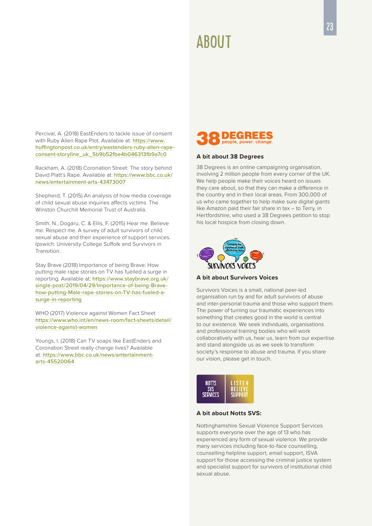## AROUT

Percival, A. (2018) EastEnders to tackle issue of consent with Ruby Allen Rape Plot. Available at: [https://www.](https://www.huffingtonpost.co.uk/entry/eastenders-ruby-allen-rape-consent-storyline_uk_5b9b52fbe4b04) [huffingtonpost.co.uk/entry/eastenders-ruby-allen-rape](https://www.huffingtonpost.co.uk/entry/eastenders-ruby-allen-rape-consent-storyline_uk_5b9b52fbe4b04)[consent-storyline\\_uk\\_5b9b52fbe4b046313fb9a7c0](https://www.huffingtonpost.co.uk/entry/eastenders-ruby-allen-rape-consent-storyline_uk_5b9b52fbe4b04)

Rackham, A. (2018) Coronation Street: The story behind David Platt's Rape. Available at: [https://www.bbc.co.uk/](https://www.bbc.co.uk/news/entertainment-arts-43473007) [news/entertainment-arts-43473007](https://www.bbc.co.uk/news/entertainment-arts-43473007)

Shepherd, T. (2015) An analysis of how media coverage of child sexual abuse inquiries affects victims. The Winston Churchill Memorial Trust of Australia.

Smith, N., Dogaru, C. & Ellis, F. (2015) Hear me. Believe me. Respect me. A survey of adult survivors of child sexual abuse and their experience of support services. Ipswich: University College Suffolk and Survivors in Transition.

Stay Brave (2018) Importance of being Brave: How putting male rape stories on TV has fuelled a surge in reporting. Available at: [https://www.staybrave.org.uk/](https://www.staybrave.org.uk/single-post/2019/04/29/Importance-of-being-Brave-how-putting-Male-rape-) [single-post/2019/04/29/Importance-of-being-Brave](https://www.staybrave.org.uk/single-post/2019/04/29/Importance-of-being-Brave-how-putting-Male-rape-)[how-putting-Male-rape-stories-on-TV-has-fueled-a](https://www.staybrave.org.uk/single-post/2019/04/29/Importance-of-being-Brave-how-putting-Male-rape-)[surge-in-reporting](https://www.staybrave.org.uk/single-post/2019/04/29/Importance-of-being-Brave-how-putting-Male-rape-)

WHO (2017) Violence against Women Fact Sheet [https://www.who.int/en/news-room/fact-sheets/detail/](https://www.who.int/en/news-room/fact-sheets/detail/violence-against-women) [violence-against-women](https://www.who.int/en/news-room/fact-sheets/detail/violence-against-women)

Youngs, I. (2018) Can TV soaps like EastEnders and Coronation Street really change lives? Available at: [https://www.bbc.co.uk/news/entertainment](https://www.bbc.co.uk/news/entertainment-arts-45520064)[arts-45520064](https://www.bbc.co.uk/news/entertainment-arts-45520064)



#### **A bit about 38 Degrees**

38 Degrees is an online campaigning organisation, involving 2 million people from every corner of the UK. We help people make their voices heard on issues they care about, so that they can make a difference in the country and in their local areas. From 300,000 of us who came together to help make sure digital giants like Amazon paid their fair share in tax – to Terry, in Hertfordshire, who used a 38 Degrees petition to stop his local hospice from closing down.



**A bit about Survivors Voices**

Survivors Voices is a small, national peer-led organisation run by and for adult survivors of abuse and inter-personal trauma and those who support them. The power of turning our traumatic experiences into something that creates good in the world is central to our existence. We seek individuals, organisations and professional training bodies who will work collaboratively with us, hear us, learn from our expertise and stand alongside us as we seek to transform society's response to abuse and trauma. If you share our vision, please get in touch.



#### **A bit about Notts SVS:**

Nottinghamshire Sexual Violence Support Services supports everyone over the age of 13 who has experienced any form of sexual violence. We provide many services including face-to-face counselling, counselling helpline support, email support, ISVA support for those accessing the criminal justice system and specialist support for survivors of institutional child sexual abuse.